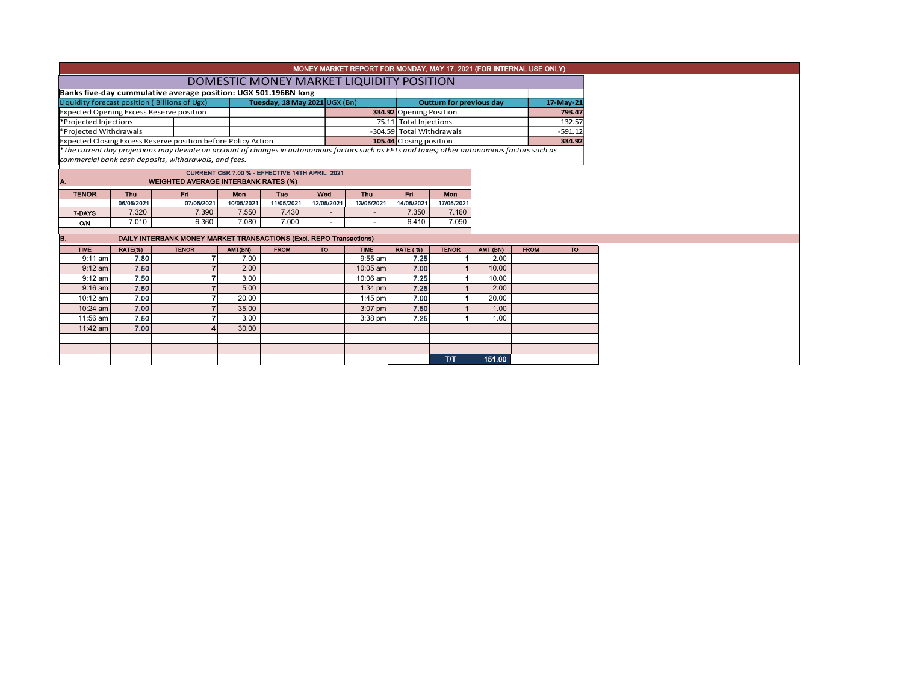|                                                                                                                                                  |                                          |                           | MONEY MARKET REPORT FOR MONDAY, MAY 17, 2021 (FOR INTERNAL USE ONLY) |           |
|--------------------------------------------------------------------------------------------------------------------------------------------------|------------------------------------------|---------------------------|----------------------------------------------------------------------|-----------|
|                                                                                                                                                  | DOMESTIC MONEY MARKET LIQUIDITY POSITION |                           |                                                                      |           |
| Banks five-day cummulative average position: UGX 501.196BN long                                                                                  |                                          |                           |                                                                      |           |
| Liquidity forecast position (Billions of Ugx)                                                                                                    | Tuesday, 18 May 2021 UGX (Bn)            |                           | <b>Outturn for previous day</b>                                      | 17-May-21 |
| <b>Expected Opening Excess Reserve position</b>                                                                                                  |                                          | 334.92 Opening Position   |                                                                      | 793.47    |
| *Projected Injections                                                                                                                            |                                          | 75.11 Total Injections    |                                                                      | 132.57    |
| *Projected Withdrawals                                                                                                                           |                                          | -304.59 Total Withdrawals |                                                                      | $-591.12$ |
| Expected Closing Excess Reserve position before Policy Action                                                                                    |                                          | 105.44 Closing position   |                                                                      | 334.92    |
| $*$ The current day projections may deviate on account of changes in autonomous factors such as FETs and taxes; other autonomous factors such as |                                          |                           |                                                                      |           |

\**The current day projections may deviate on account of changes in autonomous factors such as EFTs and taxes; other autonomous factors such as commercial bank cash deposits, withdrawals, and fees.*

 $\vdash$ 

| CURRENT CBR 7.00 % - EFFECTIVE 14TH APRIL 2021     |                                               |            |            |            |            |            |            |            |  |  |  |  |  |  |
|----------------------------------------------------|-----------------------------------------------|------------|------------|------------|------------|------------|------------|------------|--|--|--|--|--|--|
| <b>WEIGHTED AVERAGE INTERBANK RATES (%)</b><br>IA. |                                               |            |            |            |            |            |            |            |  |  |  |  |  |  |
| <b>TENOR</b>                                       | Fri<br>Wed<br>Thu<br>Mon<br>Thu<br>Fri<br>Tue |            |            |            |            |            |            |            |  |  |  |  |  |  |
|                                                    | 06/05/2021                                    | 07/05/2021 | 10/05/2021 | 11/05/2021 | 12/05/2021 | 13/05/2021 | 14/05/2021 | 17/05/2021 |  |  |  |  |  |  |
| 7-DAYS                                             | 7.320                                         | 7.390      | 7,550      | 7.430      | -          | -          | 7.350      | 7.160      |  |  |  |  |  |  |
| O/N                                                | 7.010                                         | 6.360      | 7.080      | 7.000      | -          | -          | 6.410      | 7.090      |  |  |  |  |  |  |

| B.          |         | DAILY INTERBANK MONEY MARKET TRANSACTIONS (Excl. REPO Transactions) |         |             |           |             |                 |              |          |             |           |
|-------------|---------|---------------------------------------------------------------------|---------|-------------|-----------|-------------|-----------------|--------------|----------|-------------|-----------|
|             |         |                                                                     |         |             |           |             |                 |              |          |             |           |
| <b>TIME</b> | RATE(%) | <b>TENOR</b>                                                        | AMT(BN) | <b>FROM</b> | <b>TO</b> | <b>TIME</b> | <b>RATE (%)</b> | <b>TENOR</b> | AMT (BN) | <b>FROM</b> | <b>TO</b> |
| $9:11$ am   | 7.80    |                                                                     | 7.00    |             |           | $9:55$ am   | 7.25            |              | 2.00     |             |           |
| $9:12$ am   | 7.50    |                                                                     | 2.00    |             |           | $10:05$ am  | 7.00            |              | 10.00    |             |           |
| $9:12$ am   | 7.50    |                                                                     | 3.00    |             |           | 10:06 am    | 7.25            |              | 10.00    |             |           |
| $9:16$ am   | 7.50    |                                                                     | 5.00    |             |           | $1:34$ pm   | 7.25            |              | 2.00     |             |           |
| $10:12$ am  | 7.00    |                                                                     | 20.00   |             |           | $1:45$ pm   | 7.00            |              | 20.00    |             |           |
| $10:24$ am  | 7.00    |                                                                     | 35.00   |             |           | $3:07$ pm   | 7.50            |              | 1.00     |             |           |
| 11:56 am    | 7.50    |                                                                     | 3.00    |             |           | $3:38$ pm   | 7.25            |              | 1.00     |             |           |
| $11:42$ am  | 7.00    |                                                                     | 30.00   |             |           |             |                 |              |          |             |           |
|             |         |                                                                     |         |             |           |             |                 |              |          |             |           |
|             |         |                                                                     |         |             |           |             |                 |              |          |             |           |
|             |         |                                                                     |         |             |           |             |                 | T/T          | 151.00   |             |           |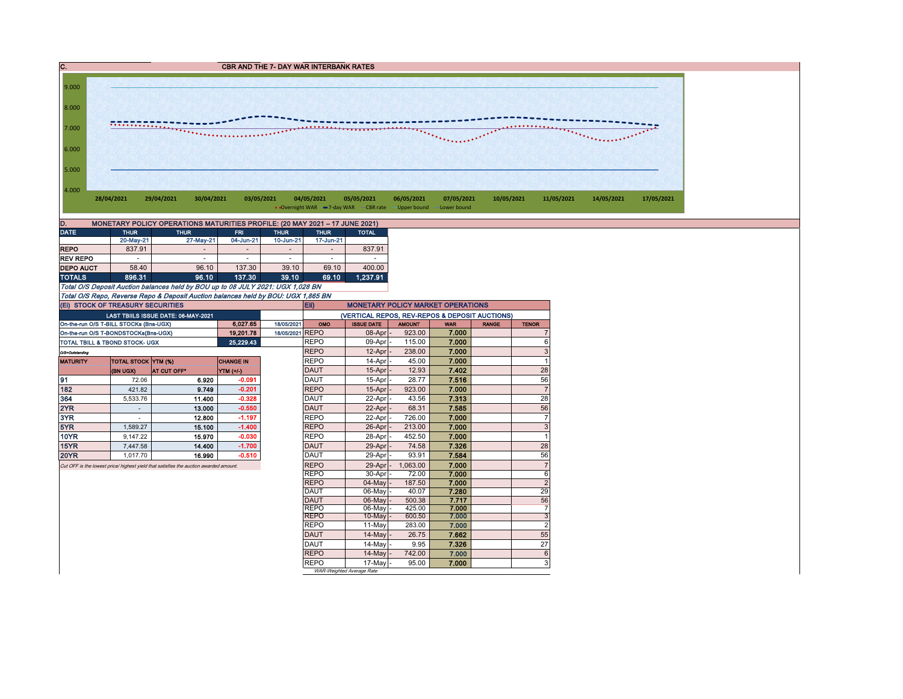

| D.               |             | MONETARY POLICY OPERATIONS MATURITIES PROFILE: (20 MAY 2021 - 17 JUNE 2021) |                          |             |                          |              |
|------------------|-------------|-----------------------------------------------------------------------------|--------------------------|-------------|--------------------------|--------------|
| <b>DATE</b>      | <b>THUR</b> | <b>THUR</b>                                                                 | <b>FRI</b>               | <b>THUR</b> |                          | <b>TOTAL</b> |
|                  | 20-May-21   | 27-May-21                                                                   | 04-Jun-21                | 10-Jun-21   | 17-Jun-21                |              |
| <b>REPO</b>      | 837.91      |                                                                             | $\overline{\phantom{a}}$ |             | $\overline{\phantom{a}}$ | 837.91       |
| <b>REV REPO</b>  |             |                                                                             | $\overline{\phantom{a}}$ |             | ۰                        | -            |
| <b>DEPO AUCT</b> | 58.40       | 96.10                                                                       | 137.30                   | 39.10       | 69.10                    | 400.00       |
| <b>TOTALS</b>    | 896.31      | 96.10                                                                       | 137.30                   | 39.10       | 69.10                    | 1.237.91     |

Total O/S Deposit Auction balances held by BOU up to 08 JULY 2021: UGX 1,028 BN Total O/S Repo, Reverse Repo & Deposit Auction balances held by BOU: UGX 1,865 BN

|                                     | (EI) STOCK OF TREASURY SECURITIES         |                                                                                       |                  | <b>Eii</b><br><b>MONETARY POLICY MARKET OPERATIONS</b> |                            |                                                |                  |                |              |                |  |  |  |  |
|-------------------------------------|-------------------------------------------|---------------------------------------------------------------------------------------|------------------|--------------------------------------------------------|----------------------------|------------------------------------------------|------------------|----------------|--------------|----------------|--|--|--|--|
| LAST TBIILS ISSUE DATE: 06-MAY-2021 |                                           |                                                                                       |                  |                                                        |                            | (VERTICAL REPOS, REV-REPOS & DEPOSIT AUCTIONS) |                  |                |              |                |  |  |  |  |
|                                     | On-the-run O/S T-BILL STOCKs (Bns-UGX)    |                                                                                       | 6.027.65         | 18/05/2021                                             | OMO                        | <b>ISSUE DATE</b>                              | <b>AMOUNT</b>    | <b>WAR</b>     | <b>RANGE</b> | <b>TENOR</b>   |  |  |  |  |
|                                     | On-the-run O/S T-BONDSTOCKs(Bns-UGX)      |                                                                                       | 19 201.78        | 18/05/2021 REPO                                        |                            | $08$ -Apr $-$                                  | 923.00           | 7.000          |              | 7              |  |  |  |  |
|                                     | <b>TOTAL TBILL &amp; TBOND STOCK- UGX</b> |                                                                                       | 25,229.43        |                                                        | <b>REPO</b>                | 09-Apr -                                       | 115.00           | 7.000          |              | 6              |  |  |  |  |
| O/S=Outstanding                     |                                           |                                                                                       |                  |                                                        | <b>REPO</b>                | $12$ -Apr $\vert$ -                            | 238.00           | 7.000          |              | 3              |  |  |  |  |
| <b>MATURITY</b>                     | TOTAL STOCK YTM (%)                       |                                                                                       | <b>CHANGE IN</b> |                                                        | <b>REPO</b>                | 14-Apr -                                       | 45.00            | 7.000          |              |                |  |  |  |  |
|                                     | (BN UGX)                                  | AT CUT OFF*                                                                           | YTM (+/-)        |                                                        | <b>DAUT</b>                | $15-Apr$ -                                     | 12.93            | 7.402          |              | 28             |  |  |  |  |
| 191                                 | 72.06                                     | 6.920                                                                                 | $-0.091$         |                                                        | <b>DAUT</b>                | $15$ -Apr $-$                                  | 28.77            | 7.516          |              | 56             |  |  |  |  |
| 182                                 | 421.82                                    | 9.749                                                                                 | $-0.201$         |                                                        | <b>REPO</b>                | 15-Apr                                         | 923.00           | 7.000          |              | $\overline{7}$ |  |  |  |  |
| 364                                 | 5,533.76                                  | 11.400                                                                                | $-0.328$         |                                                        | <b>DAUT</b>                | 22-Apr -                                       | 43.56            | 7.313          |              | 28             |  |  |  |  |
| 2YR                                 |                                           | 13.000                                                                                | $-0.550$         |                                                        | DAUT                       | $22$ -Apr $-$                                  | 68.31            | 7.585          |              | 56             |  |  |  |  |
| 3YR                                 |                                           | 12.800                                                                                | $-1.197$         |                                                        | <b>REPO</b>                | $22$ -Apr $-$                                  | 726.00           | 7.000          |              | $\overline{7}$ |  |  |  |  |
| 5YR                                 | 1.589.27                                  | 15.100                                                                                | $-1.400$         |                                                        | <b>REPO</b>                | 26-Apr -                                       | 213.00           | 7.000          |              | 3              |  |  |  |  |
| <b>10YR</b>                         | 9.147.22                                  | 15.970                                                                                | $-0.030$         |                                                        | <b>REPO</b>                | $28-Apr$ -                                     | 452.50           | 7.000          |              |                |  |  |  |  |
| <b>15YR</b>                         | 7.447.58                                  | 14.400                                                                                | $-1.700$         |                                                        | DAUT                       | 29-Apr -                                       | 74.58            | 7.326          |              | 28             |  |  |  |  |
| <b>20YR</b>                         | 1.017.70                                  | 16.990                                                                                | $-0.510$         |                                                        | <b>DAUT</b>                | 29-Apr                                         | 93.91            | 7.584          |              | 56             |  |  |  |  |
|                                     |                                           | Cut OFF is the lowest price/ highest yield that satisfies the auction awarded amount. |                  |                                                        | <b>REPO</b>                | 29-Apr                                         | 1.063.00         | 7.000          |              | $\overline{7}$ |  |  |  |  |
|                                     |                                           |                                                                                       |                  |                                                        | <b>REPO</b>                | 30-Apr -                                       | 72.00            | 7.000          |              | 6              |  |  |  |  |
|                                     |                                           |                                                                                       |                  |                                                        | <b>REPO</b>                | 04-May -                                       | 187.50           | 7.000          |              | $\overline{2}$ |  |  |  |  |
|                                     |                                           |                                                                                       |                  |                                                        | DAUT                       | 06-May -                                       | 40.07            | 7.280          |              | 29             |  |  |  |  |
|                                     |                                           |                                                                                       |                  |                                                        | <b>DAUT</b>                | 06-May -                                       | 500.38           | 7.717          |              | 56             |  |  |  |  |
|                                     |                                           |                                                                                       |                  |                                                        | <b>REPO</b><br><b>REPO</b> | $06$ -May<br>$10$ -May $-$                     | 425.00<br>600.50 | 7.000<br>7.000 |              | 7<br>3         |  |  |  |  |
|                                     |                                           |                                                                                       |                  |                                                        | <b>REPO</b>                | 11-May                                         | 283.00           |                |              | $\overline{2}$ |  |  |  |  |
|                                     |                                           |                                                                                       |                  |                                                        | DAUT                       |                                                |                  | 7.000          |              |                |  |  |  |  |
|                                     |                                           |                                                                                       |                  |                                                        |                            | $14$ -May $-$                                  | 26.75            | 7.662          |              | 55             |  |  |  |  |
|                                     |                                           |                                                                                       |                  |                                                        | <b>DAUT</b><br><b>REPO</b> | 14-May -                                       | 9.95             | 7.326          |              | 27             |  |  |  |  |
|                                     |                                           |                                                                                       |                  |                                                        |                            | 14-May                                         | 742.00           | 7.000          |              | 6              |  |  |  |  |
|                                     |                                           |                                                                                       |                  |                                                        | <b>REPO</b>                | 17-May -<br>WAR-Weighted Average Rate          | 95.00            | 7.000          |              | 3              |  |  |  |  |
|                                     |                                           |                                                                                       |                  |                                                        |                            |                                                |                  |                |              |                |  |  |  |  |

WAR-Weighted Average Rate